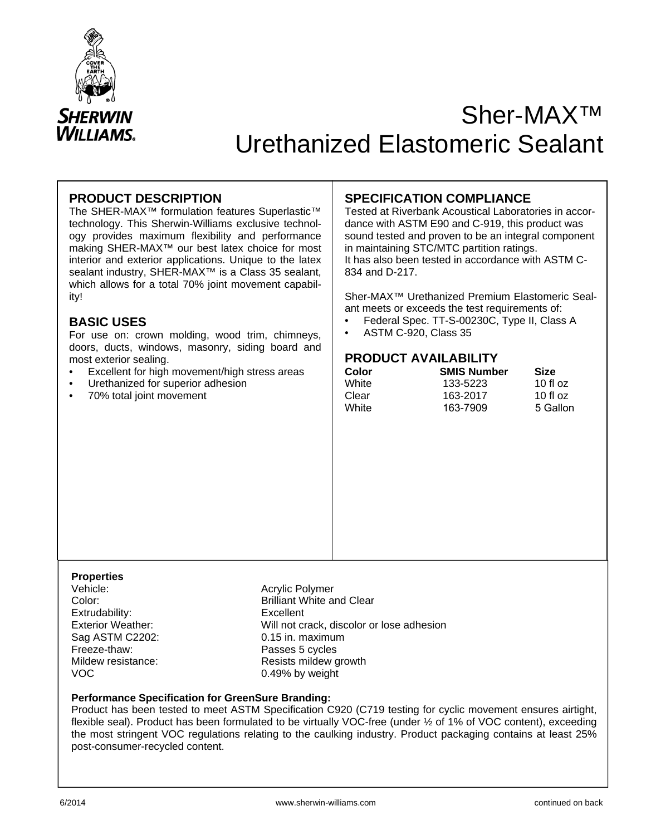

# Sher-MAX™ Urethanized Elastomeric Sealant

## **PRODUCT DESCRIPTION**

The SHER-MAX™ formulation features Superlastic™ technology. This Sherwin-Williams exclusive technology provides maximum flexibility and performance making SHER-MAX™ our best latex choice for most interior and exterior applications. Unique to the latex sealant industry, SHER-MAX<sup>™</sup> is a Class 35 sealant, which allows for a total 70% joint movement capability!

## **BASIC USES**

For use on: crown molding, wood trim, chimneys, doors, ducts, windows, masonry, siding board and most exterior sealing.

- Excellent for high movement/high stress areas
- Urethanized for superior adhesion
- 70% total joint movement

## **SPECIFICATION COMPLIANCE**

Tested at Riverbank Acoustical Laboratories in accordance with ASTM E90 and C-919, this product was sound tested and proven to be an integral component in maintaining STC/MTC partition ratings. It has also been tested in accordance with ASTM C-834 and D-217.

Sher-MAX™ Urethanized Premium Elastomeric Sealant meets or exceeds the test requirements of:

- Federal Spec. TT-S-00230C, Type II, Class A
- ASTM C-920, Class 35

## **PRODUCT AVAILABILITY**

| Color | <b>SMIS Number</b> | <b>Size</b> |  |
|-------|--------------------|-------------|--|
| White | 133-5223           | 10 fl $oz$  |  |
| Clear | 163-2017           | 10 fl $oz$  |  |
| White | 163-7909           | 5 Gallon    |  |

## **Properties**

Extrudability: Excellent Sag ASTM C2202: 0.15 in. maximum<br>
Freeze-thaw: 0.15 in. maximum<br>
Passes 5 cycles Freeze-thaw: Passes 5 cycles<br>
Mildew resistance: Passes 5 cycles<br>
Nildew resistance: VOC 0.49% by weight

Acrylic Polymer Color: Brilliant White and Clear Exterior Weather: Will not crack, discolor or lose adhesion Resists mildew growth

#### **Performance Specification for GreenSure Branding:**

Product has been tested to meet ASTM Specification C920 (C719 testing for cyclic movement ensures airtight, flexible seal). Product has been formulated to be virtually VOC-free (under  $\frac{1}{2}$  of 1% of VOC content), exceeding the most stringent VOC regulations relating to the caulking industry. Product packaging contains at least 25% post-consumer-recycled content.